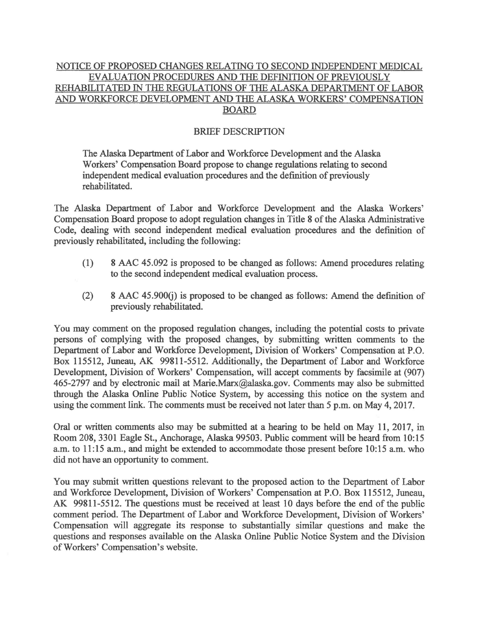## NOTICE OF PROPOSED CHANGES RELATING TO SECOND INDEPENDENT MEDICAL EVALUATION PROCEDURES AND THE DEFINITION OF PREVIOUSLY REHABILITATED IN THE REGULATIONS OF THE ALASKA DEPARTMENT OF LABOR AND WORKFORCE DEVELOPMENT AND THE ALASKA WORKERS' COMPENSATION BOARD

## BRIEF DESCRIPTION

The Alaska Department of Labor and Workforce Development and the Alaska Workers' Compensation Board propose to change regulations relating to second independent medical evaluation procedures and the definition of previously rehabilitated.

The Alaska Department of Labor and Workforce Development and the Alaska Workers' Compensation Board propose to adopt regulation changes in Title 8 of the Alaska Administrative Code, dealing with second independent medical evaluation procedures and the definition of previously rehabilitated, including the following:

- (1) 8 AAC 45.092 is proposed to be changed as follows: Amend procedures relating to the second independent medical evaluation process.
- $(2)$  8 AAC 45.900 $(i)$  is proposed to be changed as follows: Amend the definition of previously rehabilitated.

You may comment on the proposed regulation changes, including the potential costs to private persons of complying with the proposed changes, by submitting written comments to the Department of Labor and Workforce Development, Division of Workers' Compensation at P.O. Box 115512, Juneau, AK 99811-5512. Additionally, the Department of Labor and Workforce Development, Division of Workers' Compensation, will accept comments by facsimile at (907) 465-2797 and by electronic mail at Marie.Marx@alaska.gov. Comments may also be submitted through the Alaska Online Public Notice System, by accessing this notice on the system and using the comment link. The comments must be received not later than 5 p.m. on May 4, 2017.

Oral or written comments also may be submitted at a hearing to be held on May 11, 2017, in Room 208, 3301 Eagle St., Anchorage, Alaska 99503. Public comment will be heard from 10:15 a.m. to 11:15 a.m., and might be extended to accommodate those present before 10:15 a.m. who did not have an opportunity to comment.

You may submit written questions relevant to the proposed action to the Department of Labor and Workforce Development, Division of Workers' Compensation at P.O. Box 115512, Juneau, AK 99811-5512. The questions must be received at least 10 days before the end of the public comment period. The Department of Labor and Workforce Development, Division of Workers' Compensation will aggregate its response to substantially similar questions and make the questions and responses available on the Alaska Online Public Notice System and the Division of Workers' Compensation's website.